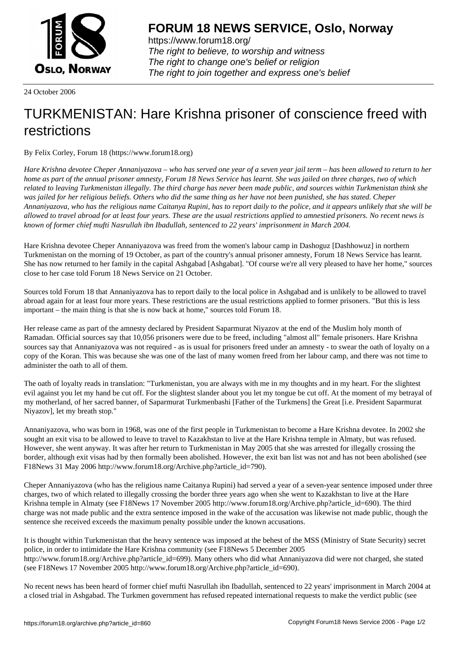

https://www.forum18.org/ The right to believe, to worship and witness The right to change one's belief or religion [The right to join together a](https://www.forum18.org/)nd express one's belief

24 October 2006

## [TURKMENISTA](https://www.forum18.org)N: Hare Krishna prisoner of conscience freed with restrictions

By Felix Corley, Forum 18 (https://www.forum18.org)

*Hare Krishna devotee Cheper Annaniyazova – who has served one year of a seven year jail term – has been allowed to return to her home as part of the annual prisoner amnesty, Forum 18 News Service has learnt. She was jailed on three charges, two of which related to leaving Turkmenistan illegally. The third charge has never been made public, and sources within Turkmenistan think she was jailed for her religious beliefs. Others who did the same thing as her have not been punished, she has stated. Cheper Annaniyazova, who has the religious name Caitanya Rupini, has to report daily to the police, and it appears unlikely that she will be allowed to travel abroad for at least four years. These are the usual restrictions applied to amnestied prisoners. No recent news is known of former chief mufti Nasrullah ibn Ibadullah, sentenced to 22 years' imprisonment in March 2004.*

Hare Krishna devotee Cheper Annaniyazova was freed from the women's labour camp in Dashoguz [Dashhowuz] in northern Turkmenistan on the morning of 19 October, as part of the country's annual prisoner amnesty, Forum 18 News Service has learnt. She has now returned to her family in the capital Ashgabad [Ashgabat]. "Of course we're all very pleased to have her home," sources close to her case told Forum 18 News Service on 21 October.

Sources told Forum 18 that Annaniyazova has to report daily to the local police in Ashgabad and is unlikely to be allowed to travel abroad again for at least four more years. These restrictions are the usual restrictions applied to former prisoners. "But this is less important – the main thing is that she is now back at home," sources told Forum 18.

Her release came as part of the amnesty declared by President Saparmurat Niyazov at the end of the Muslim holy month of Ramadan. Official sources say that 10,056 prisoners were due to be freed, including "almost all" female prisoners. Hare Krishna sources say that Annaniyazova was not required - as is usual for prisoners freed under an amnesty - to swear the oath of loyalty on a copy of the Koran. This was because she was one of the last of many women freed from her labour camp, and there was not time to administer the oath to all of them.

The oath of loyalty reads in translation: "Turkmenistan, you are always with me in my thoughts and in my heart. For the slightest evil against you let my hand be cut off. For the slightest slander about you let my tongue be cut off. At the moment of my betrayal of my motherland, of her sacred banner, of Saparmurat Turkmenbashi [Father of the Turkmens] the Great [i.e. President Saparmurat Niyazov], let my breath stop."

Annaniyazova, who was born in 1968, was one of the first people in Turkmenistan to become a Hare Krishna devotee. In 2002 she sought an exit visa to be allowed to leave to travel to Kazakhstan to live at the Hare Krishna temple in Almaty, but was refused. However, she went anyway. It was after her return to Turkmenistan in May 2005 that she was arrested for illegally crossing the border, although exit visas had by then formally been abolished. However, the exit ban list was not and has not been abolished (see F18News 31 May 2006 http://www.forum18.org/Archive.php?article\_id=790).

Cheper Annaniyazova (who has the religious name Caitanya Rupini) had served a year of a seven-year sentence imposed under three charges, two of which related to illegally crossing the border three years ago when she went to Kazakhstan to live at the Hare Krishna temple in Almaty (see F18News 17 November 2005 http://www.forum18.org/Archive.php?article\_id=690). The third charge was not made public and the extra sentence imposed in the wake of the accusation was likewise not made public, though the sentence she received exceeds the maximum penalty possible under the known accusations.

It is thought within Turkmenistan that the heavy sentence was imposed at the behest of the MSS (Ministry of State Security) secret police, in order to intimidate the Hare Krishna community (see F18News 5 December 2005 http://www.forum18.org/Archive.php?article\_id=699). Many others who did what Annaniyazova did were not charged, she stated (see F18News 17 November 2005 http://www.forum18.org/Archive.php?article\_id=690).

No recent news has been heard of former chief mufti Nasrullah ibn Ibadullah, sentenced to 22 years' imprisonment in March 2004 at a closed trial in Ashgabad. The Turkmen government has refused repeated international requests to make the verdict public (see